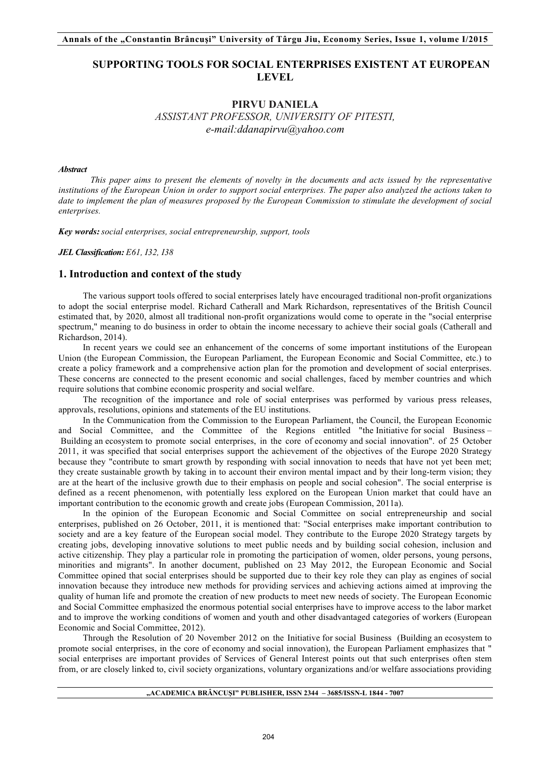# **SUPPORTING TOOLS FOR SOCIAL ENTERPRISES EXISTENT AT EUROPEAN LEVEL**

# **PIRVU DANIELA** *ASSISTANT PROFESSOR, UNIVERSITY OF PITESTI, e-mail:ddanapirvu@yahoo.com*

#### *Abstract*

*This paper aims to present the elements of novelty in the documents and acts issued by the representative institutions of the European Union in order to support social enterprises. The paper also analyzed the actions taken to date to implement the plan of measures proposed by the European Commission to stimulate the development of social enterprises.* 

*Key words: social enterprises, social entrepreneurship, support, tools*

*JEL Classification: E61, I32, I38*

# **1. Introduction and context of the study**

The various support tools offered to social enterprises lately have encouraged traditional non-profit organizations to adopt the social enterprise model. Richard Catherall and Mark Richardson, representatives of the British Council estimated that, by 2020, almost all traditional non-profit organizations would come to operate in the "social enterprise spectrum," meaning to do business in order to obtain the income necessary to achieve their social goals (Catherall and Richardson, 2014).

In recent years we could see an enhancement of the concerns of some important institutions of the European Union (the European Commission, the European Parliament, the European Economic and Social Committee, etc.) to create a policy framework and a comprehensive action plan for the promotion and development of social enterprises. These concerns are connected to the present economic and social challenges, faced by member countries and which require solutions that combine economic prosperity and social welfare.

The recognition of the importance and role of social enterprises was performed by various press releases, approvals, resolutions, opinions and statements of the EU institutions.

In the Communication from the Commission to the European Parliament, the Council, the European Economic and Social Committee, and the Committee of the Regions entitled "the Initiative for social Business – Building an ecosystem to promote social enterprises, in the core of economy and social innovation". of 25 October 2011, it was specified that social enterprises support the achievement of the objectives of the Europe 2020 Strategy because they "contribute to smart growth by responding with social innovation to needs that have not yet been met; they create sustainable growth by taking in to account their environ mental impact and by their long-term vision; they are at the heart of the inclusive growth due to their emphasis on people and social cohesion". The social enterprise is defined as a recent phenomenon, with potentially less explored on the European Union market that could have an important contribution to the economic growth and create jobs (European Commission, 2011a).

In the opinion of the European Economic and Social Committee on social entrepreneurship and social enterprises, published on 26 October, 2011, it is mentioned that: "Social enterprises make important contribution to society and are a key feature of the European social model. They contribute to the Europe 2020 Strategy targets by creating jobs, developing innovative solutions to meet public needs and by building social cohesion, inclusion and active citizenship. They play a particular role in promoting the participation of women, older persons, young persons, minorities and migrants". In another document, published on 23 May 2012, the European Economic and Social Committee opined that social enterprises should be supported due to their key role they can play as engines of social innovation because they introduce new methods for providing services and achieving actions aimed at improving the quality of human life and promote the creation of new products to meet new needs of society. The European Economic and Social Committee emphasized the enormous potential social enterprises have to improve access to the labor market and to improve the working conditions of women and youth and other disadvantaged categories of workers (European Economic and Social Committee, 2012).

Through the Resolution of 20 November 2012 on the Initiative for social Business (Building an ecosystem to promote social enterprises, in the core of economy and social innovation), the European Parliament emphasizes that " social enterprises are important provides of Services of General Interest points out that such enterprises often stem from, or are closely linked to, civil society organizations, voluntary organizations and/or welfare associations providing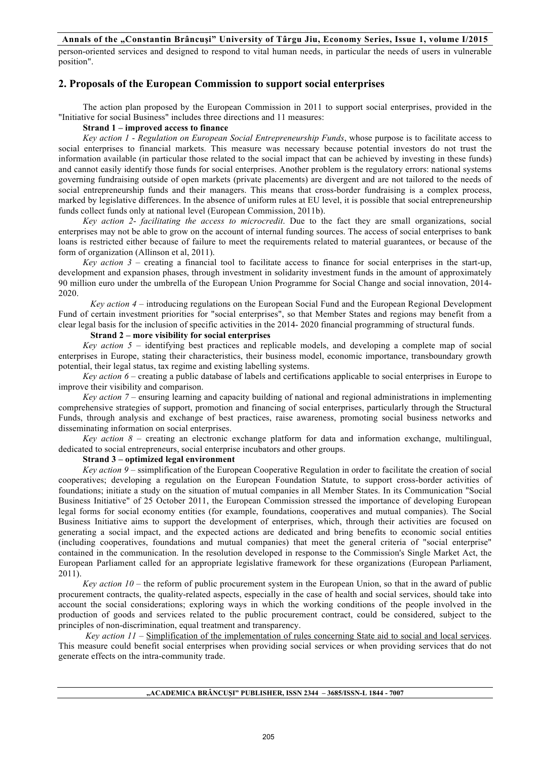person-oriented services and designed to respond to vital human needs, in particular the needs of users in vulnerable position".

# **2. Proposals of the European Commission to support social enterprises**

The action plan proposed by the European Commission in 2011 to support social enterprises, provided in the "Initiative for social Business" includes three directions and 11 measures:

#### **Strand 1 – improved access to finance**

*Key action 1* - *Regulation on European Social Entrepreneurship Funds*, whose purpose is to facilitate access to social enterprises to financial markets. This measure was necessary because potential investors do not trust the information available (in particular those related to the social impact that can be achieved by investing in these funds) and cannot easily identify those funds for social enterprises. Another problem is the regulatory errors: national systems governing fundraising outside of open markets (private placements) are divergent and are not tailored to the needs of social entrepreneurship funds and their managers. This means that cross-border fundraising is a complex process, marked by legislative differences. In the absence of uniform rules at EU level, it is possible that social entrepreneurship funds collect funds only at national level (European Commission, 2011b).

*Key action 2*- *facilitating the access to microcredit*. Due to the fact they are small organizations, social enterprises may not be able to grow on the account of internal funding sources. The access of social enterprises to bank loans is restricted either because of failure to meet the requirements related to material guarantees, or because of the form of organization (Allinson et al, 2011).

*Key action 3* – creating a financial tool to facilitate access to finance for social enterprises in the start-up, development and expansion phases, through investment in solidarity investment funds in the amount of approximately 90 million euro under the umbrella of the European Union Programme for Social Change and social innovation, 2014- 2020.

*Key action 4* – introducing regulations on the European Social Fund and the European Regional Development Fund of certain investment priorities for "social enterprises", so that Member States and regions may benefit from a clear legal basis for the inclusion of specific activities in the 2014- 2020 financial programming of structural funds.

## **Strand 2 – more visibility for social enterprises**

*Key action 5* – identifying best practices and replicable models, and developing a complete map of social enterprises in Europe, stating their characteristics, their business model, economic importance, transboundary growth potential, their legal status, tax regime and existing labelling systems.

*Key action 6* – creating a public database of labels and certifications applicable to social enterprises in Europe to improve their visibility and comparison.

*Key action 7* – ensuring learning and capacity building of national and regional administrations in implementing comprehensive strategies of support, promotion and financing of social enterprises, particularly through the Structural Funds, through analysis and exchange of best practices, raise awareness, promoting social business networks and disseminating information on social enterprises.

*Key action 8* – creating an electronic exchange platform for data and information exchange, multilingual, dedicated to social entrepreneurs, social enterprise incubators and other groups.

#### **Strand 3 – optimized legal environment**

*Key action 9* – ssimplification of the European Cooperative Regulation in order to facilitate the creation of social cooperatives; developing a regulation on the European Foundation Statute, to support cross-border activities of foundations; initiate a study on the situation of mutual companies in all Member States. In its Communication "Social Business Initiative" of 25 October 2011, the European Commission stressed the importance of developing European legal forms for social economy entities (for example, foundations, cooperatives and mutual companies). The Social Business Initiative aims to support the development of enterprises, which, through their activities are focused on generating a social impact, and the expected actions are dedicated and bring benefits to economic social entities (including cooperatives, foundations and mutual companies) that meet the general criteria of "social enterprise" contained in the communication. In the resolution developed in response to the Commission's Single Market Act, the European Parliament called for an appropriate legislative framework for these organizations (European Parliament, 2011).

*Key action 10* – the reform of public procurement system in the European Union, so that in the award of public procurement contracts, the quality-related aspects, especially in the case of health and social services, should take into account the social considerations; exploring ways in which the working conditions of the people involved in the production of goods and services related to the public procurement contract, could be considered, subject to the principles of non-discrimination, equal treatment and transparency.

*Key action 11* – Simplification of the implementation of rules concerning State aid to social and local services. This measure could benefit social enterprises when providing social services or when providing services that do not generate effects on the intra-community trade.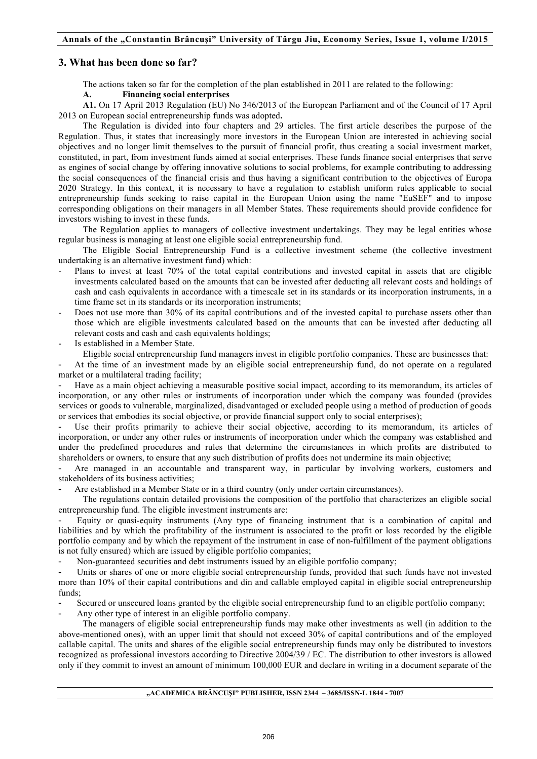# **3. What has been done so far?**

The actions taken so far for the completion of the plan established in 2011 are related to the following:

#### **A. Financing social enterprises**

**A1.** On 17 April 2013 Regulation (EU) No 346/2013 of the European Parliament and of the Council of 17 April 2013 on European social entrepreneurship funds was adopted**.** 

The Regulation is divided into four chapters and 29 articles. The first article describes the purpose of the Regulation. Thus, it states that increasingly more investors in the European Union are interested in achieving social objectives and no longer limit themselves to the pursuit of financial profit, thus creating a social investment market, constituted, in part, from investment funds aimed at social enterprises. These funds finance social enterprises that serve as engines of social change by offering innovative solutions to social problems, for example contributing to addressing the social consequences of the financial crisis and thus having a significant contribution to the objectives of Europa 2020 Strategy. In this context, it is necessary to have a regulation to establish uniform rules applicable to social entrepreneurship funds seeking to raise capital in the European Union using the name "EuSEF" and to impose corresponding obligations on their managers in all Member States. These requirements should provide confidence for investors wishing to invest in these funds.

The Regulation applies to managers of collective investment undertakings. They may be legal entities whose regular business is managing at least one eligible social entrepreneurship fund.

The Eligible Social Entrepreneurship Fund is a collective investment scheme (the collective investment undertaking is an alternative investment fund) which:

- Plans to invest at least 70% of the total capital contributions and invested capital in assets that are eligible investments calculated based on the amounts that can be invested after deducting all relevant costs and holdings of cash and cash equivalents in accordance with a timescale set in its standards or its incorporation instruments, in a time frame set in its standards or its incorporation instruments;
- Does not use more than 30% of its capital contributions and of the invested capital to purchase assets other than those which are eligible investments calculated based on the amounts that can be invested after deducting all relevant costs and cash and cash equivalents holdings;
- Is established in a Member State.

Eligible social entrepreneurship fund managers invest in eligible portfolio companies. These are businesses that:

- At the time of an investment made by an eligible social entrepreneurship fund, do not operate on a regulated market or a multilateral trading facility;

Have as a main object achieving a measurable positive social impact, according to its memorandum, its articles of incorporation, or any other rules or instruments of incorporation under which the company was founded (provides services or goods to vulnerable, marginalized, disadvantaged or excluded people using a method of production of goods or services that embodies its social objective, or provide financial support only to social enterprises);

Use their profits primarily to achieve their social objective, according to its memorandum, its articles of incorporation, or under any other rules or instruments of incorporation under which the company was established and under the predefined procedures and rules that determine the circumstances in which profits are distributed to shareholders or owners, to ensure that any such distribution of profits does not undermine its main objective;

Are managed in an accountable and transparent way, in particular by involving workers, customers and stakeholders of its business activities;

Are established in a Member State or in a third country (only under certain circumstances).

The regulations contain detailed provisions the composition of the portfolio that characterizes an eligible social entrepreneurship fund. The eligible investment instruments are:

- Equity or quasi-equity instruments (Any type of financing instrument that is a combination of capital and liabilities and by which the profitability of the instrument is associated to the profit or loss recorded by the eligible portfolio company and by which the repayment of the instrument in case of non-fulfillment of the payment obligations is not fully ensured) which are issued by eligible portfolio companies;

- Non-guaranteed securities and debt instruments issued by an eligible portfolio company;

Units or shares of one or more eligible social entrepreneurship funds, provided that such funds have not invested more than 10% of their capital contributions and din and callable employed capital in eligible social entrepreneurship funds;

- Secured or unsecured loans granted by the eligible social entrepreneurship fund to an eligible portfolio company;

Any other type of interest in an eligible portfolio company.

The managers of eligible social entrepreneurship funds may make other investments as well (in addition to the above-mentioned ones), with an upper limit that should not exceed 30% of capital contributions and of the employed callable capital. The units and shares of the eligible social entrepreneurship funds may only be distributed to investors recognized as professional investors according to Directive 2004/39 / EC. The distribution to other investors is allowed only if they commit to invest an amount of minimum 100,000 EUR and declare in writing in a document separate of the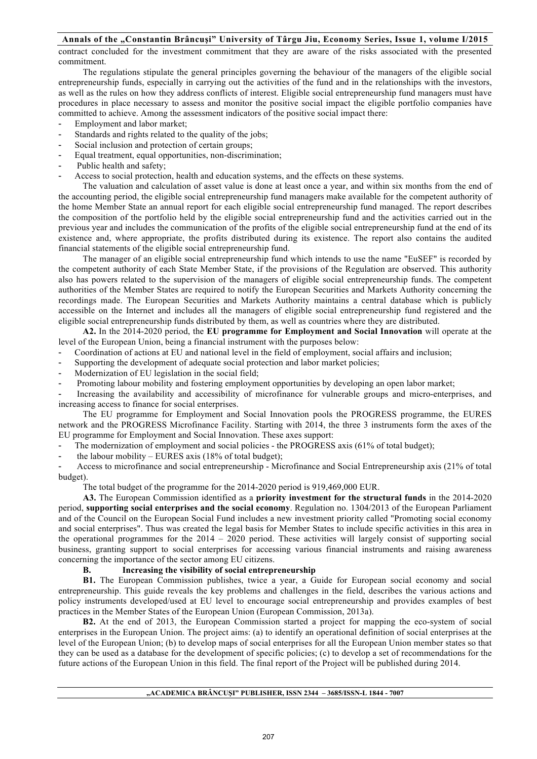contract concluded for the investment commitment that they are aware of the risks associated with the presented commitment.

The regulations stipulate the general principles governing the behaviour of the managers of the eligible social entrepreneurship funds, especially in carrying out the activities of the fund and in the relationships with the investors, as well as the rules on how they address conflicts of interest. Eligible social entrepreneurship fund managers must have procedures in place necessary to assess and monitor the positive social impact the eligible portfolio companies have committed to achieve. Among the assessment indicators of the positive social impact there:

- Employment and labor market;
- Standards and rights related to the quality of the jobs;
- Social inclusion and protection of certain groups;
- Equal treatment, equal opportunities, non-discrimination;
- Public health and safety;
- Access to social protection, health and education systems, and the effects on these systems.

The valuation and calculation of asset value is done at least once a year, and within six months from the end of the accounting period, the eligible social entrepreneurship fund managers make available for the competent authority of the home Member State an annual report for each eligible social entrepreneurship fund managed. The report describes the composition of the portfolio held by the eligible social entrepreneurship fund and the activities carried out in the previous year and includes the communication of the profits of the eligible social entrepreneurship fund at the end of its existence and, where appropriate, the profits distributed during its existence. The report also contains the audited financial statements of the eligible social entrepreneurship fund.

The manager of an eligible social entrepreneurship fund which intends to use the name "EuSEF" is recorded by the competent authority of each State Member State, if the provisions of the Regulation are observed. This authority also has powers related to the supervision of the managers of eligible social entrepreneurship funds. The competent authorities of the Member States are required to notify the European Securities and Markets Authority concerning the recordings made. The European Securities and Markets Authority maintains a central database which is publicly accessible on the Internet and includes all the managers of eligible social entrepreneurship fund registered and the eligible social entrepreneurship funds distributed by them, as well as countries where they are distributed.

**A2.** In the 2014-2020 period, the **EU programme for Employment and Social Innovation** will operate at the level of the European Union, being a financial instrument with the purposes below:

- Coordination of actions at EU and national level in the field of employment, social affairs and inclusion;
- Supporting the development of adequate social protection and labor market policies;
- Modernization of EU legislation in the social field;
- Promoting labour mobility and fostering employment opportunities by developing an open labor market;

- Increasing the availability and accessibility of microfinance for vulnerable groups and micro-enterprises, and increasing access to finance for social enterprises.

The EU programme for Employment and Social Innovation pools the PROGRESS programme, the EURES network and the PROGRESS Microfinance Facility. Starting with 2014, the three 3 instruments form the axes of the EU programme for Employment and Social Innovation. These axes support:

The modernization of employment and social policies - the PROGRESS axis (61% of total budget);

the labour mobility – EURES axis (18% of total budget);

- Access to microfinance and social entrepreneurship - Microfinance and Social Entrepreneurship axis (21% of total budget).

The total budget of the programme for the 2014-2020 period is 919,469,000 EUR.

**A3.** The European Commission identified as a **priority investment for the structural funds** in the 2014-2020 period, **supporting social enterprises and the social economy**. Regulation no. 1304/2013 of the European Parliament and of the Council on the European Social Fund includes a new investment priority called "Promoting social economy and social enterprises". Thus was created the legal basis for Member States to include specific activities in this area in the operational programmes for the 2014 – 2020 period. These activities will largely consist of supporting social business, granting support to social enterprises for accessing various financial instruments and raising awareness concerning the importance of the sector among EU citizens.

#### **B. Increasing the visibility of social entrepreneurship**

**B1.** The European Commission publishes, twice a year, a Guide for European social economy and social entrepreneurship. This guide reveals the key problems and challenges in the field, describes the various actions and policy instruments developed/used at EU level to encourage social entrepreneurship and provides examples of best practices in the Member States of the European Union (European Commission, 2013a).

**B2.** At the end of 2013, the European Commission started a project for mapping the eco-system of social enterprises in the European Union. The project aims: (a) to identify an operational definition of social enterprises at the level of the European Union; (b) to develop maps of social enterprises for all the European Union member states so that they can be used as a database for the development of specific policies; (c) to develop a set of recommendations for the future actions of the European Union in this field. The final report of the Project will be published during 2014.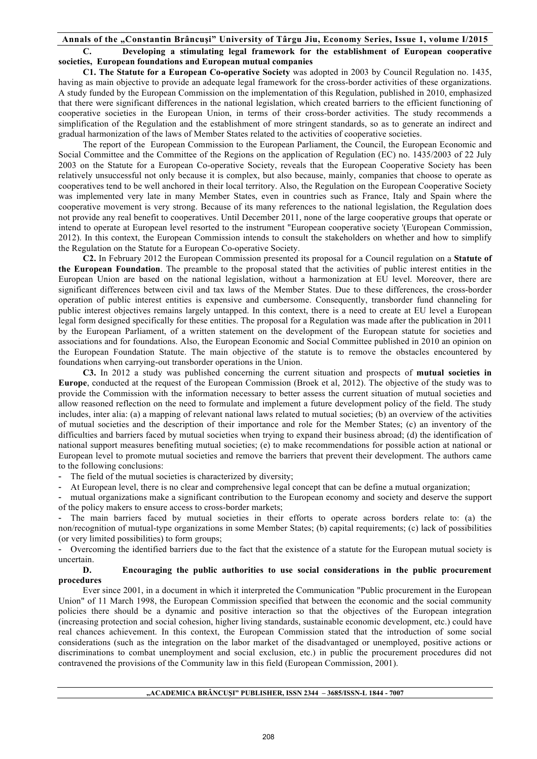**C. Developing a stimulating legal framework for the establishment of European cooperative societies, European foundations and European mutual companies**

**C1. The Statute for a European Co-operative Society** was adopted in 2003 by Council Regulation no. 1435, having as main objective to provide an adequate legal framework for the cross-border activities of these organizations. A study funded by the European Commission on the implementation of this Regulation, published in 2010, emphasized that there were significant differences in the national legislation, which created barriers to the efficient functioning of cooperative societies in the European Union, in terms of their cross-border activities. The study recommends a simplification of the Regulation and the establishment of more stringent standards, so as to generate an indirect and gradual harmonization of the laws of Member States related to the activities of cooperative societies.

The report of the European Commission to the European Parliament, the Council, the European Economic and Social Committee and the Committee of the Regions on the application of Regulation (EC) no. 1435/2003 of 22 July 2003 on the Statute for a European Co-operative Society, reveals that the European Cooperative Society has been relatively unsuccessful not only because it is complex, but also because, mainly, companies that choose to operate as cooperatives tend to be well anchored in their local territory. Also, the Regulation on the European Cooperative Society was implemented very late in many Member States, even in countries such as France, Italy and Spain where the cooperative movement is very strong. Because of its many references to the national legislation, the Regulation does not provide any real benefit to cooperatives. Until December 2011, none of the large cooperative groups that operate or intend to operate at European level resorted to the instrument "European cooperative society '(European Commission, 2012). In this context, the European Commission intends to consult the stakeholders on whether and how to simplify the Regulation on the Statute for a European Co-operative Society.

**C2.** In February 2012 the European Commission presented its proposal for a Council regulation on a **Statute of the European Foundation**. The preamble to the proposal stated that the activities of public interest entities in the European Union are based on the national legislation, without a harmonization at EU level. Moreover, there are significant differences between civil and tax laws of the Member States. Due to these differences, the cross-border operation of public interest entities is expensive and cumbersome. Consequently, transborder fund channeling for public interest objectives remains largely untapped. In this context, there is a need to create at EU level a European legal form designed specifically for these entities. The proposal for a Regulation was made after the publication in 2011 by the European Parliament, of a written statement on the development of the European statute for societies and associations and for foundations. Also, the European Economic and Social Committee published in 2010 an opinion on the European Foundation Statute. The main objective of the statute is to remove the obstacles encountered by foundations when carrying-out transborder operations in the Union.

**C3.** In 2012 a study was published concerning the current situation and prospects of **mutual societies in Europe**, conducted at the request of the European Commission (Broek et al, 2012). The objective of the study was to provide the Commission with the information necessary to better assess the current situation of mutual societies and allow reasoned reflection on the need to formulate and implement a future development policy of the field. The study includes, inter alia: (a) a mapping of relevant national laws related to mutual societies; (b) an overview of the activities of mutual societies and the description of their importance and role for the Member States; (c) an inventory of the difficulties and barriers faced by mutual societies when trying to expand their business abroad; (d) the identification of national support measures benefiting mutual societies; (e) to make recommendations for possible action at national or European level to promote mutual societies and remove the barriers that prevent their development. The authors came to the following conclusions:

- The field of the mutual societies is characterized by diversity;

- At European level, there is no clear and comprehensive legal concept that can be define a mutual organization;

- mutual organizations make a significant contribution to the European economy and society and deserve the support of the policy makers to ensure access to cross-border markets;

The main barriers faced by mutual societies in their efforts to operate across borders relate to: (a) the non/recognition of mutual-type organizations in some Member States; (b) capital requirements; (c) lack of possibilities (or very limited possibilities) to form groups;

- Overcoming the identified barriers due to the fact that the existence of a statute for the European mutual society is uncertain.

#### **D. Encouraging the public authorities to use social considerations in the public procurement procedures**

Ever since 2001, in a document in which it interpreted the Communication "Public procurement in the European Union" of 11 March 1998, the European Commission specified that between the economic and the social community policies there should be a dynamic and positive interaction so that the objectives of the European integration (increasing protection and social cohesion, higher living standards, sustainable economic development, etc.) could have real chances achievement. In this context, the European Commission stated that the introduction of some social considerations (such as the integration on the labor market of the disadvantaged or unemployed, positive actions or discriminations to combat unemployment and social exclusion, etc.) in public the procurement procedures did not contravened the provisions of the Community law in this field (European Commission, 2001).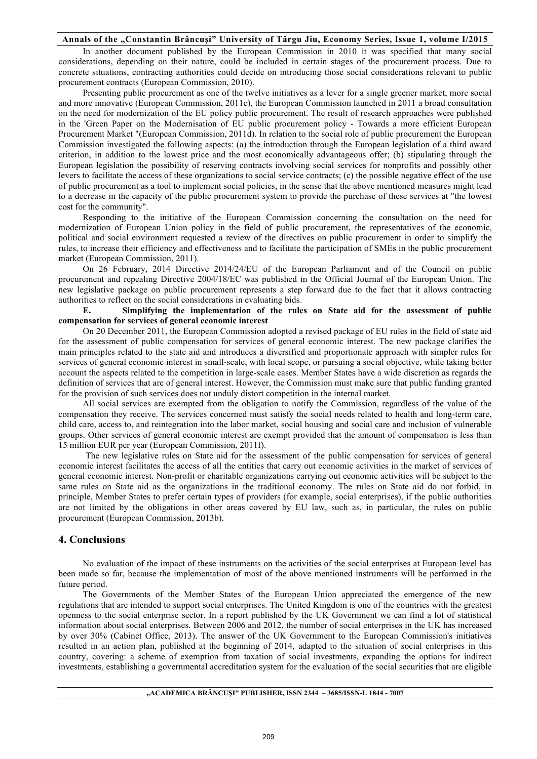In another document published by the European Commission in 2010 it was specified that many social considerations, depending on their nature, could be included in certain stages of the procurement process. Due to concrete situations, contracting authorities could decide on introducing those social considerations relevant to public procurement contracts (European Commission, 2010).

Presenting public procurement as one of the twelve initiatives as a lever for a single greener market, more social and more innovative (European Commission, 2011c), the European Commission launched in 2011 a broad consultation on the need for modernization of the EU policy public procurement. The result of research approaches were published in the 'Green Paper on the Modernisation of EU public procurement policy - Towards a more efficient European Procurement Market "(European Commission, 2011d). In relation to the social role of public procurement the European Commission investigated the following aspects: (a) the introduction through the European legislation of a third award criterion, in addition to the lowest price and the most economically advantageous offer; (b) stipulating through the European legislation the possibility of reserving contracts involving social services for nonprofits and possibly other levers to facilitate the access of these organizations to social service contracts; (c) the possible negative effect of the use of public procurement as a tool to implement social policies, in the sense that the above mentioned measures might lead to a decrease in the capacity of the public procurement system to provide the purchase of these services at "the lowest cost for the community".

Responding to the initiative of the European Commission concerning the consultation on the need for modernization of European Union policy in the field of public procurement, the representatives of the economic, political and social environment requested a review of the directives on public procurement in order to simplify the rules, to increase their efficiency and effectiveness and to facilitate the participation of SMEs in the public procurement market (European Commission, 2011).

On 26 February, 2014 Directive 2014/24/EU of the European Parliament and of the Council on public procurement and repealing Directive 2004/18/EC was published in the Official Journal of the European Union. The new legislative package on public procurement represents a step forward due to the fact that it allows contracting authorities to reflect on the social considerations in evaluating bids.

**E. Simplifying the implementation of the rules on State aid for the assessment of public compensation for services of general economic interest**

On 20 December 2011, the European Commission adopted a revised package of EU rules in the field of state aid for the assessment of public compensation for services of general economic interest. The new package clarifies the main principles related to the state aid and introduces a diversified and proportionate approach with simpler rules for services of general economic interest in small-scale, with local scope, or pursuing a social objective, while taking better account the aspects related to the competition in large-scale cases. Member States have a wide discretion as regards the definition of services that are of general interest. However, the Commission must make sure that public funding granted for the provision of such services does not unduly distort competition in the internal market.

All social services are exempted from the obligation to notify the Commission, regardless of the value of the compensation they receive. The services concerned must satisfy the social needs related to health and long-term care, child care, access to, and reintegration into the labor market, social housing and social care and inclusion of vulnerable groups. Other services of general economic interest are exempt provided that the amount of compensation is less than 15 million EUR per year (European Commission, 2011f).

The new legislative rules on State aid for the assessment of the public compensation for services of general economic interest facilitates the access of all the entities that carry out economic activities in the market of services of general economic interest. Non-profit or charitable organizations carrying out economic activities will be subject to the same rules on State aid as the organizations in the traditional economy. The rules on State aid do not forbid, in principle, Member States to prefer certain types of providers (for example, social enterprises), if the public authorities are not limited by the obligations in other areas covered by EU law, such as, in particular, the rules on public procurement (European Commission, 2013b).

## **4. Conclusions**

No evaluation of the impact of these instruments on the activities of the social enterprises at European level has been made so far, because the implementation of most of the above mentioned instruments will be performed in the future period.

The Governments of the Member States of the European Union appreciated the emergence of the new regulations that are intended to support social enterprises. The United Kingdom is one of the countries with the greatest openness to the social enterprise sector. In a report published by the UK Government we can find a lot of statistical information about social enterprises. Between 2006 and 2012, the number of social enterprises in the UK has increased by over 30% (Cabinet Office, 2013). The answer of the UK Government to the European Commission's initiatives resulted in an action plan, published at the beginning of 2014, adapted to the situation of social enterprises in this country, covering: a scheme of exemption from taxation of social investments, expanding the options for indirect investments, establishing a governmental accreditation system for the evaluation of the social securities that are eligible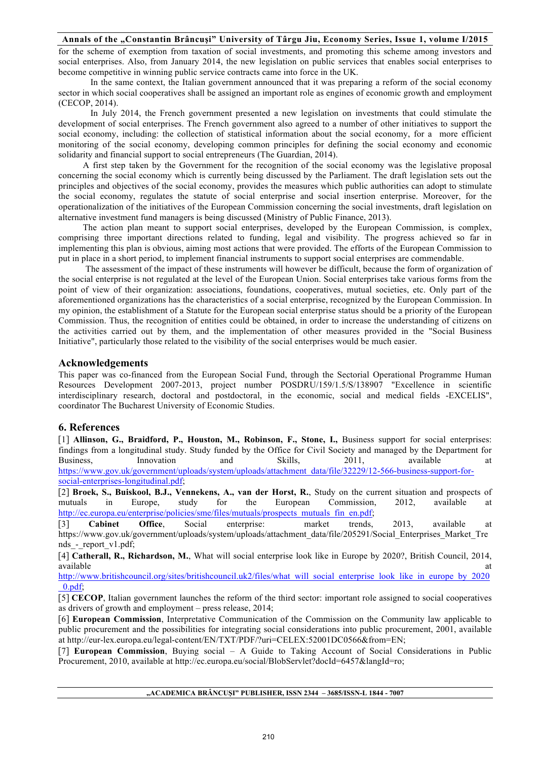for the scheme of exemption from taxation of social investments, and promoting this scheme among investors and social enterprises. Also, from January 2014, the new legislation on public services that enables social enterprises to become competitive in winning public service contracts came into force in the UK.

In the same context, the Italian government announced that it was preparing a reform of the social economy sector in which social cooperatives shall be assigned an important role as engines of economic growth and employment (CECOP, 2014).

In July 2014, the French government presented a new legislation on investments that could stimulate the development of social enterprises. The French government also agreed to a number of other initiatives to support the social economy, including: the collection of statistical information about the social economy, for a more efficient monitoring of the social economy, developing common principles for defining the social economy and economic solidarity and financial support to social entrepreneurs (The Guardian, 2014).

A first step taken by the Government for the recognition of the social economy was the legislative proposal concerning the social economy which is currently being discussed by the Parliament. The draft legislation sets out the principles and objectives of the social economy, provides the measures which public authorities can adopt to stimulate the social economy, regulates the statute of social enterprise and social insertion enterprise. Moreover, for the operationalization of the initiatives of the European Commission concerning the social investments, draft legislation on alternative investment fund managers is being discussed (Ministry of Public Finance, 2013).

The action plan meant to support social enterprises, developed by the European Commission, is complex, comprising three important directions related to funding, legal and visibility. The progress achieved so far in implementing this plan is obvious, aiming most actions that were provided. The efforts of the European Commission to put in place in a short period, to implement financial instruments to support social enterprises are commendable.

The assessment of the impact of these instruments will however be difficult, because the form of organization of the social enterprise is not regulated at the level of the European Union. Social enterprises take various forms from the point of view of their organization: associations, foundations, cooperatives, mutual societies, etc. Only part of the aforementioned organizations has the characteristics of a social enterprise, recognized by the European Commission. In my opinion, the establishment of a Statute for the European social enterprise status should be a priority of the European Commission. Thus, the recognition of entities could be obtained, in order to increase the understanding of citizens on the activities carried out by them, and the implementation of other measures provided in the "Social Business Initiative", particularly those related to the visibility of the social enterprises would be much easier.

## **Acknowledgements**

This paper was co-financed from the European Social Fund, through the Sectorial Operational Programme Human Resources Development 2007-2013, project number POSDRU/159/1.5/S/138907 "Excellence in scientific interdisciplinary research, doctoral and postdoctoral, in the economic, social and medical fields -EXCELIS", coordinator The Bucharest University of Economic Studies.

# **6. References**

[1] **Allinson, G., Braidford, P., Houston, M., Robinson, F., Stone, I.,** Business support for social enterprises: findings from a longitudinal study. Study funded by the Office for Civil Society and managed by the Department for Business, Innovation and Skills, 2011, available at https://www.gov.uk/government/uploads/system/uploads/attachment\_data/file/32229/12-566-business-support-forsocial-enterprises-longitudinal.pdf;

[2] **Broek, S., Buiskool, B.J., Vennekens, A., van der Horst, R.**, Study on the current situation and prospects of mutuals in Europe, study for the European Commission, 2012, available at http://ec.europa.eu/enterprise/policies/sme/files/mutuals/prospects\_mutuals\_fin\_en.pdf;

[3] **Cabinet Office**, Social enterprise: market trends, 2013, available at https://www.gov.uk/government/uploads/system/uploads/attachment\_data/file/205291/Social\_Enterprises\_Market\_Tre nds\_-\_report\_v1.pdf;

[4] **Catherall, R., Richardson, M.**, What will social enterprise look like in Europe by 2020?, British Council, 2014, available at the contract of the contract of the contract of the contract of the contract of the contract of the contract of the contract of the contract of the contract of the contract of the contract of the contract of t

http://www.britishcouncil.org/sites/britishcouncil.uk2/files/what\_will\_social\_enterprise\_look\_like\_in\_europe\_by\_2020 \_0.pdf;

[5] **CECOP**, Italian government launches the reform of the third sector: important role assigned to social cooperatives as drivers of growth and employment – press release, 2014;

[6] **European Commission**, Interpretative Communication of the Commission on the Community law applicable to public procurement and the possibilities for integrating social considerations into public procurement, 2001, available at http://eur-lex.europa.eu/legal-content/EN/TXT/PDF/?uri=CELEX:52001DC0566&from=EN;

[7] **European Commission**, Buying social – A Guide to Taking Account of Social Considerations in Public Procurement, 2010, available at http://ec.europa.eu/social/BlobServlet?docId=6457&langId=ro;